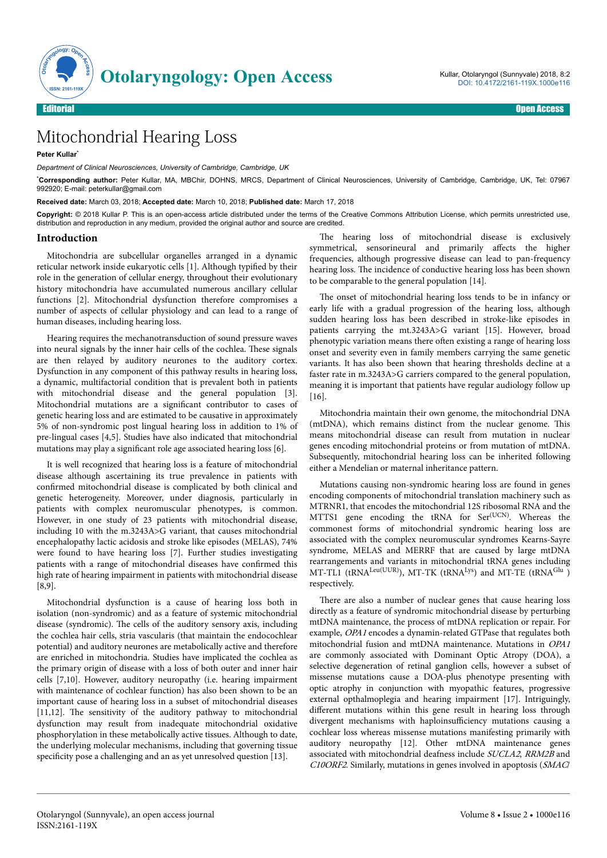

## Mitochondrial Hearing Loss

**Peter Kullar**\*

*Department of Clinical Neurosciences, University of Cambridge, Cambridge, UK*

\***Corresponding author:** Peter Kullar, MA, MBChir, DOHNS, MRCS, Department of Clinical Neurosciences, University of Cambridge, Cambridge, UK, Tel: 07967 992920; E-mail: peterkullar@gmail.com

**Received date:** March 03, 2018; **Accepted date:** March 10, 2018; **Published date:** March 17, 2018

Copyright: © 2018 Kullar P. This is an open-access article distributed under the terms of the Creative Commons Attribution License, which permits unrestricted use, distribution and reproduction in any medium, provided the original author and source are credited.

## **Introduction**

Mitochondria are subcellular organelles arranged in a dynamic reticular network inside eukaryotic cells [1]. Although typified by their role in the generation of cellular energy, throughout their evolutionary history mitochondria have accumulated numerous ancillary cellular functions [2]. Mitochondrial dysfunction therefore compromises a number of aspects of cellular physiology and can lead to a range of human diseases, including hearing loss.

Hearing requires the mechanotransduction of sound pressure waves into neural signals by the inner hair cells of the cochlea. Нese signals are then relayed by auditory neurones to the auditory cortex. Dysfunction in any component of this pathway results in hearing loss, a dynamic, multifactorial condition that is prevalent both in patients with mitochondrial disease and the general population [3]. Mitochondrial mutations are a significant contributor to cases of genetic hearing loss and are estimated to be causative in approximately 5% of non-syndromic post lingual hearing loss in addition to 1% of pre-lingual cases [4,5]. Studies have also indicated that mitochondrial mutations may play a significant role age associated hearing loss [6].

It is well recognized that hearing loss is a feature of mitochondrial disease although ascertaining its true prevalence in patients with confirmed mitochondrial disease is complicated by both clinical and genetic heterogeneity. Moreover, under diagnosis, particularly in patients with complex neuromuscular phenotypes, is common. However, in one study of 23 patients with mitochondrial disease, including 10 with the m.3243A>G variant, that causes mitochondrial encephalopathy lactic acidosis and stroke like episodes (MELAS), 74% were found to have hearing loss [7]. Further studies investigating patients with a range of mitochondrial diseases have confirmed this high rate of hearing impairment in patients with mitochondrial disease [8,9].

Mitochondrial dysfunction is a cause of hearing loss both in isolation (non-syndromic) and as a feature of systemic mitochondrial disease (syndromic). Нe cells of the auditory sensory axis, including the cochlea hair cells, stria vascularis (that maintain the endocochlear potential) and auditory neurones are metabolically active and therefore are enriched in mitochondria. Studies have implicated the cochlea as the primary origin of disease with a loss of both outer and inner hair cells [7,10]. However, auditory neuropathy (i.e. hearing impairment with maintenance of cochlear function) has also been shown to be an important cause of hearing loss in a subset of mitochondrial diseases [11,12]. The sensitivity of the auditory pathway to mitochondrial dysfunction may result from inadequate mitochondrial oxidative phosphorylation in these metabolically active tissues. Although to date, the underlying molecular mechanisms, including that governing tissue specificity pose a challenging and an as yet unresolved question [13].

The hearing loss of mitochondrial disease is exclusively symmetrical, sensorineural and primarily affects the higher frequencies, although progressive disease can lead to pan-frequency hearing loss. Нe incidence of conductive hearing loss has been shown to be comparable to the general population [14].

The onset of mitochondrial hearing loss tends to be in infancy or early life with a gradual progression of the hearing loss, although sudden hearing loss has been described in stroke-like episodes in patients carrying the mt.3243A>G variant [15]. However, broad phenotypic variation means there often existing a range of hearing loss onset and severity even in family members carrying the same genetic variants. It has also been shown that hearing thresholds decline at a faster rate in m.3243A>G carriers compared to the general population, meaning it is important that patients have regular audiology follow up [16].

Mitochondria maintain their own genome, the mitochondrial DNA (mtDNA), which remains distinct from the nuclear genome. Нis means mitochondrial disease can result from mutation in nuclear genes encoding mitochondrial proteins or from mutation of mtDNA. Subsequently, mitochondrial hearing loss can be inherited following either a Mendelian or maternal inheritance pattern.

Mutations causing non-syndromic hearing loss are found in genes encoding components of mitochondrial translation machinery such as MTRNR1, that encodes the mitochondrial 12S ribosomal RNA and the MTTS1 gene encoding the tRNA for Ser<sup>(UCN)</sup>. Whereas the commonest forms of mitochondrial syndromic hearing loss are associated with the complex neuromuscular syndromes Kearns-Sayre syndrome, MELAS and MERRF that are caused by large mtDNA rearrangements and variants in mitochondrial tRNA genes including MT-TL1 (tRNA<sup>Leu(UUR)</sup>), MT-TK (tRNA<sup>Lys</sup>) and MT-TE (tRNA<sup>Glu</sup>) respectively.

There are also a number of nuclear genes that cause hearing loss directly as a feature of syndromic mitochondrial disease by perturbing mtDNA maintenance, the process of mtDNA replication or repair. For example, OPA1 encodes a dynamin-related GTPase that regulates both mitochondrial fusion and mtDNA maintenance. Mutations in OPA1 are commonly associated with Dominant Optic Atropy (DOA), a selective degeneration of retinal ganglion cells, however a subset of missense mutations cause a DOA-plus phenotype presenting with optic atrophy in conjunction with myopathic features, progressive external opthalmoplegia and hearing impairment [17]. Intriguingly, different mutations within this gene result in hearing loss through divergent mechanisms with haploinsufficiency mutations causing a cochlear loss whereas missense mutations manifesting primarily with auditory neuropathy [12]. Other mtDNA maintenance genes associated with mitochondrial deafness include SUCLA2, RRM2B and C10ORF2. Similarly, mutations in genes involved in apoptosis (SMAC/